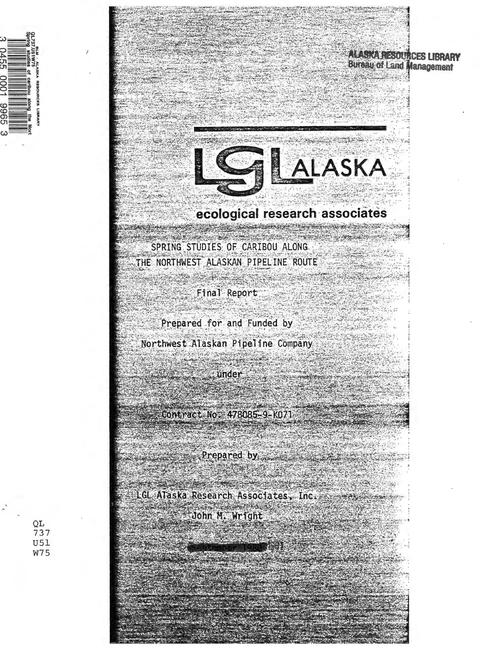

**ALASKA RESOURCES LIBRARY Bureau of Land Management** 



# ecological research associates

**BERTH AND THE REPORT OF PROPERTY** SPRING STUDIES OF CARIBOU ALONG THE NORTHWEST ALASKAN PIPELINE ROUTE

in pine pine

Final Report

Prepared for and Funded by **Northwest Alaskan Pipeline Company** 

under

**Tychia**  $= 478085 - 9 = 1071$ 

Prepared by 

LGL ATaska Research Associates, Inc. John M. Wright

QL 737 **U51 W75**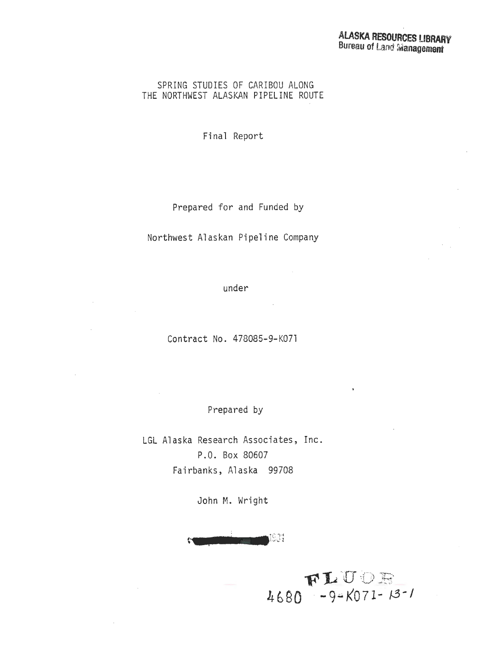#### SPRING STUDIES OF CARIBOU ALONG THE NORTHWEST ALASKAN PIPELINE ROUTE

Final Report

Prepared for and Funded by

Northwest Alaskan Pipeline Company

under

Contract No. 478085-9-K071

Prepared by

LGL Alaska Research Associates, Inc. P.O. Box 80607 Fairbanks, Alaska 99708

John M. Wright

, 2 1 J l98t

 $FLUDE$ <br>4680 -9-K071-13-1

 $\bar{\mathbf{s}}$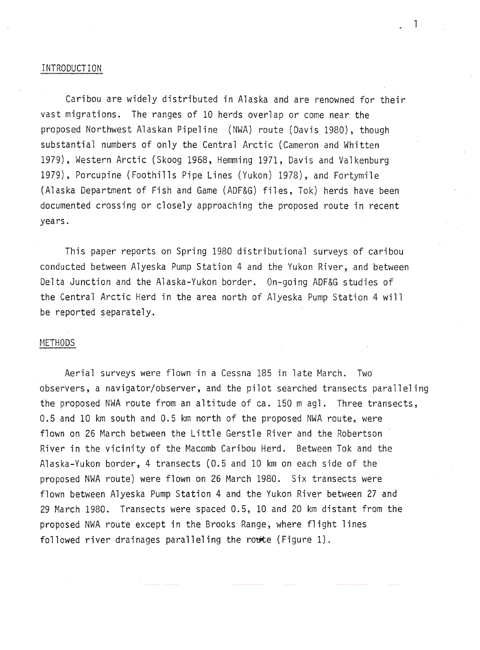#### INTRODUCTION

Caribou are widely distributed in Alaska and are renowned for their vast migrations. The ranges of 10 herds overlap or come near the proposed Northwest Alaskan Pipeline (NWA) route (Davis 1980), though substantial numbers of only the Central Arctic (Cameron and Whitten 1979), Western Arctic (Skoog 1968, Hemming 1971, Davis and Valkenburg 1979), Porcupine (Foothills Pipe Lines (Yukon) 1978), and Fortymile (Alaska Department of Fish and Game (ADF&G) files, Tok) herds have been documented crossing or closely approaching the proposed route in recent years.

This paper reports on Spring 1980 distributional surveys of caribou conducted between Alyeska Pump Station 4 and the Yukon River, and between Delta Junction and the Alaska-Yukon border. On-going ADF&G studies of the Central Arctic Herd in the area north of Alyeska Pump Station 4 will be reported separately.

#### METHODS

Aerial surveys were flown in a Cessna 185 in late March. Two observers, a navigator/observer, and the pilot searched transects paralleling the proposed NWA route from an altitude of ca. 150m agl. Three transects, 0.5 and 10 km south and 0.5 km north of the proposed NWA route, were flown on 26 March between the Little Gerstle River and the Robertson River in the vicinity of the Macomb Caribou Herd. Between Tok and the Alaska-Yukon border, 4 transects (0.5 and 10 km on each side of the proposed NWA route) were flown on 26 March 1980. Six transects were flown between Alyeska Pump Station 4 and the Yukon River between 27 and 29 March 1980. Transects were spaced 0.5, 10 and 20 km distant from the proposed NWA route except in the Brooks Range, where flight lines followed river drainages paralleling the route (Figure 1).

l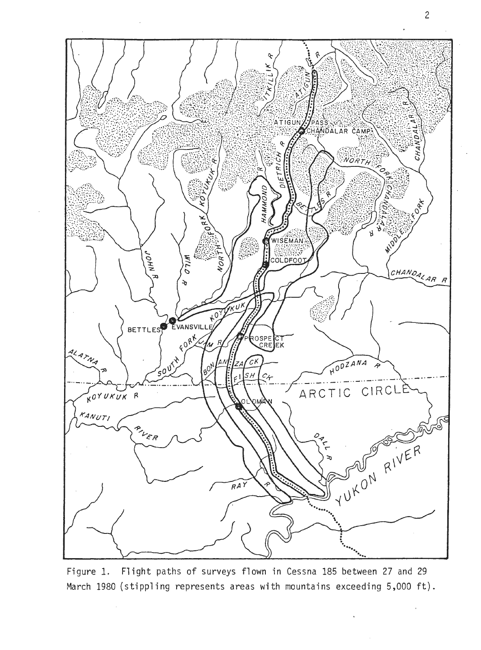

Figure 1. Flight paths of surveys flown in Cessna 185 between 27 and 29 March 1980 (stippling represents areas with mountains exceeding 5,000 ft).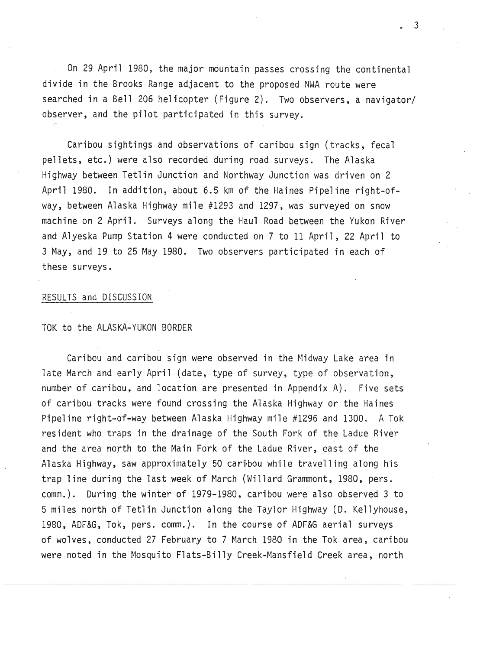On 29 April 1980, the major mountain passes crossing the continental divide in the Brooks Range adjacent to the proposed NWA route were searched in a Bell 206 helicopter (Figure 2). Two observers, a navigator/ observer, and the pilot participated in this survey.

Caribou sightings and observations of caribou sign (tracks, fecal pellets, etc.) were also recorded during road surveys. The Alaska Highway between Tetlin Junction and Northway Junction was driven on 2 April 1980. In addition, about 6.5 km of the Haines Pipeline right-ofway, between Alaska Highway mile #1293 and 1297, was surveyed on snow machine on 2 April. Surveys along the Haul Road between the Yukon River and Alyeska Pump Station 4 were conducted on 7 to 11 April, 22 April to 3 May, and 19 to 25 May 1980. Two observers participated in each of these surveys.

#### RESULTS and DISCUSSION

#### TOK to the ALASKA-YUKON BORDER

Caribou and caribou sign were observed in the Midway Lake area in late March and early April (date, type of survey, type of observation, number of caribou, and location are presented in Appendix A). Five sets of caribou tracks were found crossing the Alaska Highway or the Haines Pipeline right-of-way between Alaska Highway mile #1296 and 1300. A Tok resident who traps in the drainage of the South Fork of the Ladue River and the area north to the Main Fork of the Ladue River, east of the Alaska Highway, saw approximately 50 caribou while travelling along his trap line during the last week of March (Willard Grammont, 1980, pers. comm.). During the winter of 1979-1980, caribou were also observed 3 to 5 miles north of Tetlin Junction along the Taylor Highway (D. Kellyhouse, 1980, ADF&G, Tok, pers. comm.). In the course of ADF&G aerial surveys of wolves, conducted 27 February to 7 March 1980 in the Tok area, caribou were noted in the Mosquito Flats-Billy Creek-Mansfield Creek area, north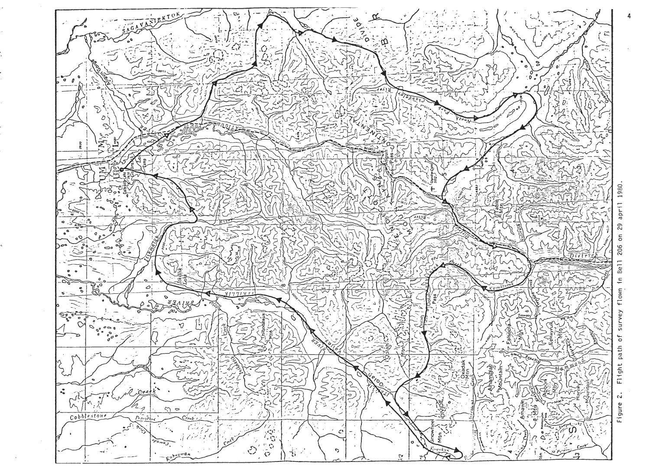

29  $\overline{5}$ 206 in Bell flown survey Flight path of  $\tilde{\mathfrak{c} \mathfrak{d}}$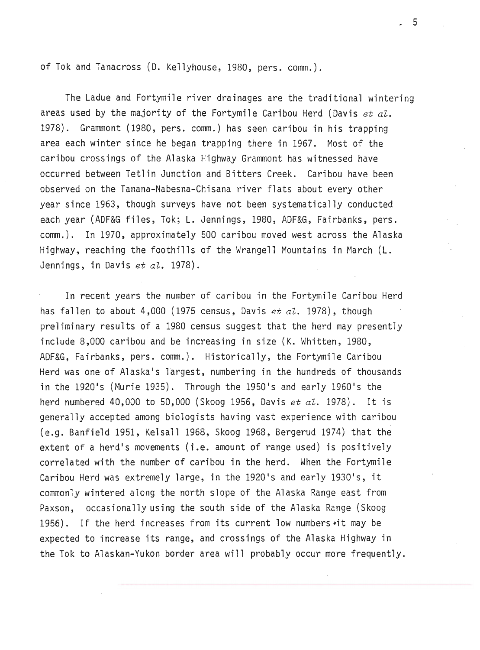of Tok and Tanacross (D. Kellyhouse, 1980, pers. comm.).

The Ladue and Fortymile river drainages are the traditional wintering areas used by the majority of the Fortymile Caribou Herd (Davis *et aZ.*  1978). Grammont (1980, pers. comm.) has seen caribou in his trapping area each winter since he began trapping there in 1967. Most of the caribou crossings of the Alaska Highway Grammont has witnessed have occurred between Tetlin Junction and Bitters Creek. Caribou have been observed on the Tanana-Nabesna-Chisana river flats about every other year since 1963, though surveys have not been systematically conducted each year (ADF&G files, Tok; L. Jennings, 1980, ADF&G, Fairbanks, pers. comm.). In 1970, approximately 500 caribou moved west across the Alaska Highway, reaching the foothills of the Wrangell Mountains in March (L. Jennings, in Davis *et al.* 1978).

In recent years the number of caribou in the Fortymile Caribou Herd has fallen to about 4,000 (1975 census, Davis *et al.* 1978), though preliminary results of a 1980 census suggest that the herd may presently include 8,000 caribou and be increasing in size (K. Whitten, 1980, AOF&G, Fairbanks, pers. comm.). Historically, the Fortymile Caribou Herd was one of Alaska's largest, numbering in the hundreds of thousands in the 1920's (Murie 1935). Through the 1950's and early 1960's the herd numbered 40,000 to 50,000 (Skoog 1956, Davis *et al.* 1978). It is generally accepted among biologists having vast experience with caribou (e.g. Banfield 1951, Kelsall 1968, Skoog 1968, Bergerud 1974) that the extent of a herd's movements (i.e. amount of range used) is positively correlated with the number of caribou in the herd. When the Fortymile Caribou Herd was extremely large, in the 1920's and early 1930's, it commonly wintered along the north slope of the Alaska Range east from Paxson, occasionally using the south side of the Alaska Range (Skoog 1956). If the herd increases from its current low numbers •it may be expected to increase its range, and crossings of the Alaska Highway in the Tok to Alaskan-Yukon border area will probably occur more frequently.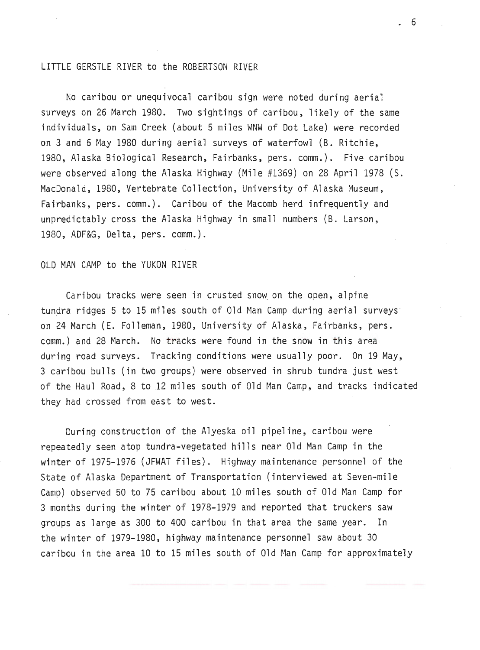#### LITTLE GERSTLE RIVER to the ROBERTSON RIVER

No caribou or unequivocal caribou sign were noted during aerial surveys on 26 March 1980. Two sightings of caribou, likely of the same individuals, on Sam Creek (about 5 miles WNW of Dot Lake) were recorded on 3 and 6 May 1980 during aerial surveys of waterfowl (B. Ritchie, 1980, Alaska Biological Research, Fairbanks, pers. comm.). Five caribou were observed along the Alaska Highway (Mile #1369) on 28 April 1978 (S. MacDonald, 1980, Vertebrate Collection, University of Alaska Museum, Fairbanks, pers. comm.). Caribou of the Macomb herd infrequently and unpredictably cross the Alaska Highway in small numbers (B. Larson, 1980, ADF&G, Delta, pers. comm.).

#### OLD MAN CAMP to the YUKON RIVER

Caribou tracks were seen in crusted snow on the open, alpine tundra ridges 5 to 15 miles south of Old Man Camp during aerial surveys on 24 March (E. Folleman, 1980, University of Alaska, Fairbanks, pers. comm.) and 28 March. No tracks were found in the snow in this area during road surveys. Tracking conditions were usually poor. On 19 May, 3 caribou bulls (in two groups) were observed in shrub tundra just west of the Haul Road, 8 to 12 miles south of Old Man Camp, and tracks indicated they had crossed from east to west.

During construction of the Alyeska oil pipeline, caribou were repeatedly seen atop tundra-vegetated hills near Old Man Camp in the winter of 1975-1976 (JFWAT files). Highway maintenance personnel of the State of Alaska Department of Transportation (interviewed at Seven-mile Camp) observed 50 to 75 caribou about 10 miles south of Old Man Camp for 3 months during the winter of 1978-1979 and reported that truckers saw groups as large as 300 to 400 caribou in that area the same year. In the winter of 1979-1980, highway maintenance personnel saw about 30 caribou in the area 10 to 15 miles south of 01d Man Camp for approximately

. 6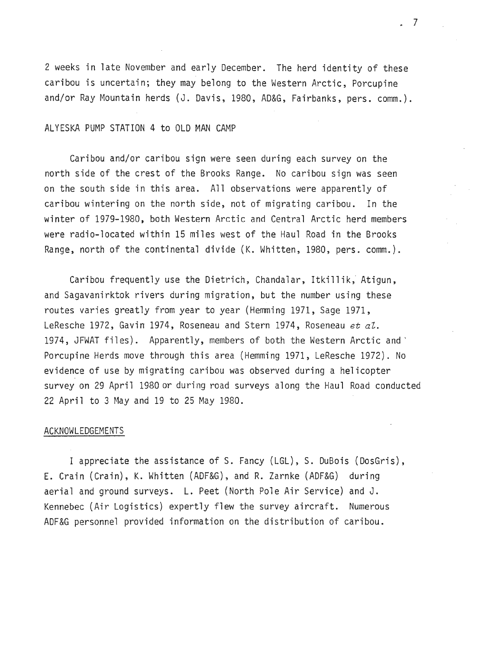2 weeks in late November and early December. The herd identity of these caribou is uncertain; they may belong to the Western Arctic, Porcupine and/or Ray Mountain herds (J. Davis, 1980, AD&G, Fairbanks, pers. comm.).

#### ALYESKA PUMP STATION 4 to OLD MAN CAMP

Caribou and/or caribou sign were seen during each survey on the north side of the crest of the Brooks Range. No caribou sign was seen on the south side in this area. All observations were apparently of caribou wintering on the north side, not of migrating caribou. In the winter of 1979-1980, both Western Arctic and Central Arctic herd members were radio-located within 15 miles west of the Haul Road in the Brooks Range, north of the continental divide (K. Whitten, 1980, pers. comm.).

Caribou frequently use the Dietrich, Chandalar, Itkillik, Atigun, and Sagavanirktok rivers during migration, but the number using these routes varies greatly from year to year (Hemming 1971, Sage 1971, LeResche 1972, Gavin 1974, Roseneau and Stern 1974, Roseneau *et aZ.*  1974, JFWAT files). Apparently, members of both the Western Arctic and ' Porcupine Herds move through this area (Hemming 1971, LeResche 1972). No evidence of use by migrating caribou was observed during a helicopter survey on 29 April 1980 or during road surveys along the Haul Road conducted 22 April to 3 May and 19 to 25 May 1980.

#### ACKNOWLEDGEMENTS

I appreciate the assistance of S. Fancy (LGL), S. DuBois (DosGris), E. Crain (Crain), K. Whitten (ADF&G), and R. Zarnke (ADF&G) during aerial and ground surveys. L. Peet (North Pole Air Service) and J. Kennebec (Air Logistics) expertly flew the survey aircraft. Numerous ADF&G personnel provided information on the distribution of caribou.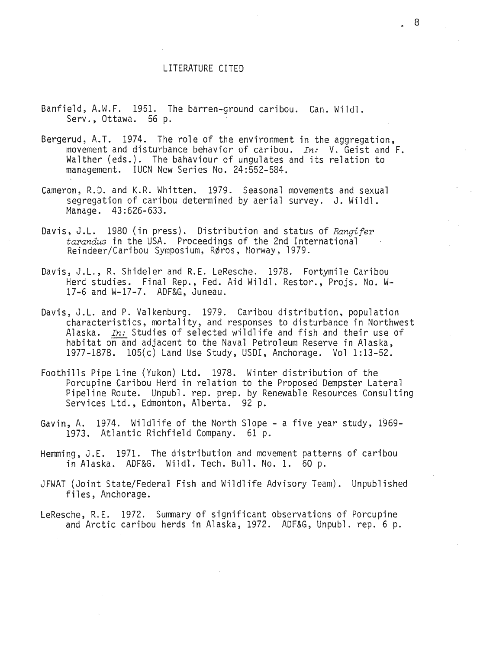#### LITERATURE CITED

- Banfield, A.W.F. 1951. The barren-ground caribou. Can. Wildl. Serv., Ottawa. 56 p.
- Bergerud, A.T. 1974. The role of the environment in the aggregation, movement and disturbance behavior of caribou. *In:* V. Geist and F. Walther (eds.). The bahaviour of ungulates and its relation to management. IUCN New Series No. 24:552-584.
- Cameron, R.D. and K.R. Whitten. 1979. Seasonal movements and sexual segregation of caribou determined by aerial survey. J. Wildl. Manage. 43:626-633.
- Davis, J.L. 1980 (in press). Distribution and status of *Rangifer tarandus* in the USA. Proceedings of the 2nd International Reindeer/Caribou Symposium, Røros, Morway, 1979.
- Davis, J.L., R. Shideler and R.E. LeResche. 1978. Fortymile Caribou Herd studies. Final Rep., Fed. Aid Wildl. Restor., Projs: No. W-17-6 and W-17-7. ADF&G, Juneau.
- Davis, J.L. and P. Valkenburg. 1979. Caribou distribution, population characteristics, mortality, and responses to disturbance in Northwest Alaska. *In:* Studies of selected wildlife and fish and their use of habitat on and adjacent to the Naval Petroleum Reserve in Alaska, 1977-1878. 105(c) Land Use Study, USDI, Anchorage. Vol 1:13-52.
- Foothills Pipe Line (Yukon) Ltd. 1978. Winter distribution of the Porcupine Caribou Herd in relation to the Proposed Dempster Lateral Pipeline Route. Unpubl. rep. prep. by Renewable Resources Consulting Services Ltd., Edmonton, Alberta. 92 p.
- Gavin, A. 1974. Wildlife of the North Slope- a five year study, 1969- 1973. Atlantic Richfield Company. 61 p.
- Hemming, J.E. 1971. The distribution and movement patterns of caribou in Alaska. ADF&G. Wildl. Tech. Bull. No. 1. 60 p.
- JFWAT (Joint State/Federal Fish and Wildlife Advisory Team). Unpublished files, Anchorage.
- LeResche, R.E. 1972. Summary of significant observations of Porcupine and Arctic caribou herds in Alaska, 1972. ADF&G, Unpubl. rep. 6 p.

. 8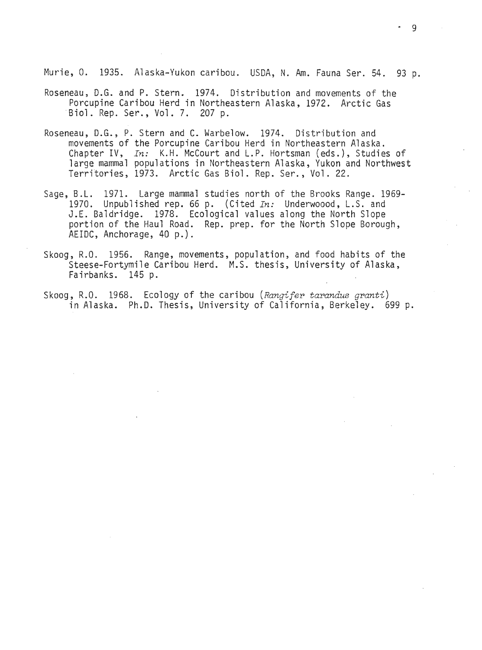Murie, O. 1935. Alaska-Yukon caribou. USDA, N. Am. Fauna Ser. 54. 93 p.

- Roseneau, D.G. and P. Stern. 1974. Distribution and movements of the Porcupine Caribou Herd in Northeastern Alaska, 1972. Arctic Gas Biol. Rep. Ser., Vol. 7. 207 p.
- Roseneau, D.G., P. Stern and C. Warbelow. 1974. Distribution and movements of the Porcupine Caribou Herd in Northeastern Alaska. Chapter IV, *In:* K.H. McCourt and L.P. Hortsman (eds.), Studies of large mammal populations in Northeastern Alaska, Yukon and Northwest Territories, 1973. Arctic Gas Biol. Rep. Ser., Vol. 22.
- Sage, B.L. 1971. Large mammal studies north of the Brooks Range. 1969- 1970. Unpublished rep. 66 p. (Cited *In*: Underwoood, L.S. and J.E. Baldridge. 1978. Ecological values along the North Slope portion of the Haul Road. Rep. prep. for the North Slope Borough, AEIDC, Anchorage, 40 p.) .
- Skoog, R.O. 1956. Range, movements, population, and food habits of the Steese-Fortymile Caribou Herd. M.S. thesis, University of Alaska, Fairbanks. 145 p.

Skoog, R.O. 1968. Ecology of the caribou *(Rangifer tarandus granti )*  in Alaska. Ph.D. Thesis, University of California, Berkeley. 699 p.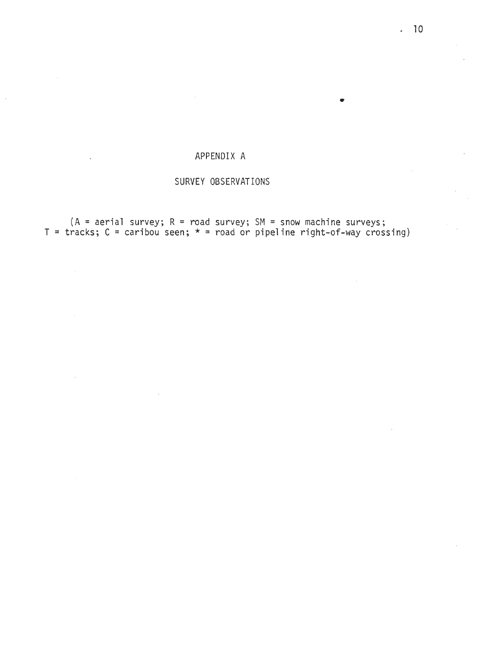### APPENDIX A

#### SURVEY OBSERVATIONS

 $(A = aerial survey; R = road survey; SM = snow machine surveys;$  $T = \text{tracks}; C = \text{caribou seen}; * = \text{road or pipeline right-of-way crossing})$ 

•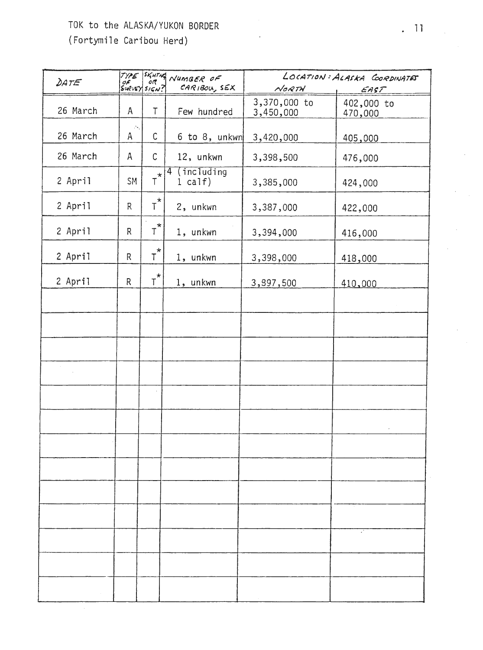## TOK to the ALASKA/YUKON BORDER

 $\bar{z}$ 

(Fortymile Caribou Herd)

| DATE     |                                   | TYPE SKHTHE<br>$\frac{df}{s}$ or | NUMBER OF<br>CARIBOU, SEX | LOCATION: ALASKA COORDINATES<br>NORTH |                               |
|----------|-----------------------------------|----------------------------------|---------------------------|---------------------------------------|-------------------------------|
| 26 March | Α                                 | T.                               | Few hundred               | 3,370,000 to<br>3,450,000             | EAST<br>402,000 to<br>470,000 |
| 26 March | $\mathcal{L}^{\mathbf{q}}$ .<br>A | $\mathsf C$                      | 6 to 8, unkwn             | 3,420,000                             | 405,000                       |
| 26 March | $\mathsf{A}$                      | C                                | 12, unkwn                 | 3,398,500                             | 476,000                       |
| 2 April  | <b>SM</b>                         | $\star$<br>T                     | $4$ (including<br>1 calf) | 3,385,000                             | 424,000                       |
| 2 April  | $\mathsf{R}$                      | $\tau^{\star}$                   | 2, unkwn                  | 3,387,000                             | 422,000                       |
| 2 April  | R                                 | $T^{\star}$                      | 1, unkwn                  | 3,394,000                             | 416,000                       |
| 2 April  | R                                 | $\star$<br>T.                    | 1, unkwn                  | 3,398,000                             | 418,000                       |
| 2 April  | R                                 | $T^{\star}$                      | 1, unkwn                  | 3,897,500                             | 410,000                       |
|          |                                   |                                  |                           |                                       |                               |
|          |                                   |                                  |                           |                                       |                               |
|          |                                   |                                  |                           |                                       |                               |
|          |                                   |                                  |                           |                                       |                               |
|          |                                   |                                  |                           |                                       |                               |
|          |                                   |                                  |                           |                                       |                               |
|          |                                   |                                  |                           |                                       |                               |
|          |                                   |                                  |                           |                                       |                               |
|          |                                   |                                  |                           |                                       |                               |
|          |                                   |                                  |                           |                                       |                               |
|          |                                   |                                  |                           |                                       |                               |
|          |                                   |                                  |                           |                                       |                               |
|          |                                   |                                  |                           |                                       |                               |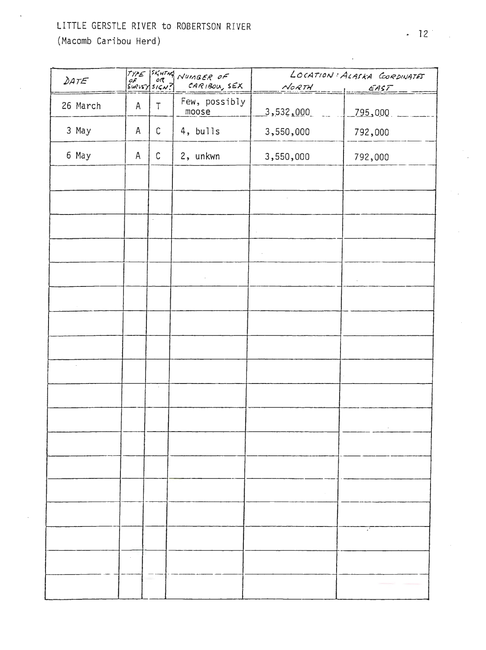## LITTLE GERSTLE RIVER to ROBERTSON RIVER

(Macomb Caribou Herd)

| DATE          |              |             | TYPE SKHING NUMBER OF<br>SWEVEY SIGN? CARIBOU, S<br>CARIBOU, SEX | $N$ ORTH  | LOCATION: ALASKA CORDINATES<br>EAST |
|---------------|--------------|-------------|------------------------------------------------------------------|-----------|-------------------------------------|
| 26 March      | $\mathsf A$  | $\top$      | Few, possibly<br>moose                                           | 3,532,000 | 795,000                             |
| 3 May         | A            | $\mathbb C$ | 4, bulls                                                         | 3,550,000 | 792,000                             |
| 6 May         | $\mathsf{A}$ | $\mathbb C$ | 2, unkwn                                                         | 3,550,000 | 792,000                             |
|               |              |             |                                                                  |           |                                     |
|               |              |             |                                                                  |           |                                     |
|               |              | $\Box$      |                                                                  |           |                                     |
|               |              |             |                                                                  | ÷,        |                                     |
|               |              |             |                                                                  |           | $\epsilon$                          |
|               |              |             |                                                                  |           |                                     |
|               |              |             |                                                                  |           |                                     |
|               |              |             |                                                                  |           |                                     |
| $\Delta \phi$ |              |             |                                                                  |           |                                     |
|               |              | $\epsilon$  |                                                                  |           |                                     |
|               |              |             |                                                                  |           |                                     |
|               |              |             |                                                                  |           |                                     |
|               |              |             |                                                                  |           |                                     |
|               |              |             |                                                                  |           |                                     |
|               |              |             |                                                                  |           |                                     |
|               |              |             |                                                                  |           |                                     |
|               |              |             |                                                                  |           |                                     |
|               |              |             |                                                                  |           |                                     |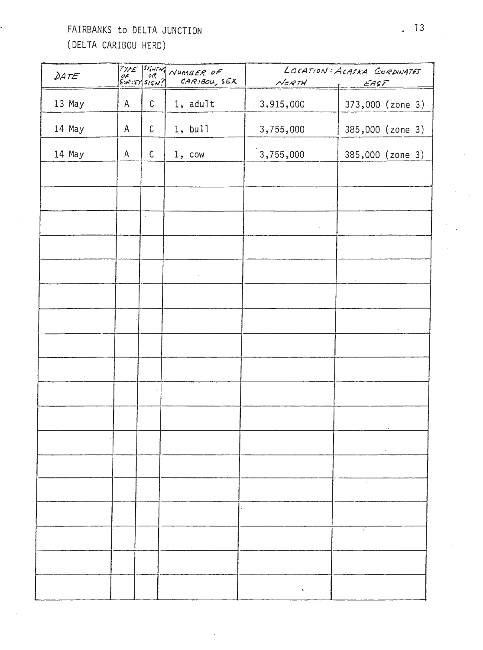## FAIRBANKS to DELTA JUNCTION (DELTA CARIBOU HERD)

| DATE                  |              |             | TYPE SKHING NUMBER OF<br>CARIBOU, SEX | NORTH.    | LOCATION: ALASKA CORDINATES<br>EAST |
|-----------------------|--------------|-------------|---------------------------------------|-----------|-------------------------------------|
| 13 May                | $\mathsf{A}$ | $\mathsf C$ | 1, adult                              | 3,915,000 | 373,000 (zone 3)                    |
| 14 May                | $\mathsf{A}$ | С           | 1, bull                               | 3,755,000 | 385,000 (zone 3)                    |
| 14 May                | A            | $\mathsf C$ | 1, cov                                | 3,755,000 | 385,000 (zone 3)                    |
|                       |              |             |                                       |           |                                     |
|                       |              |             |                                       |           |                                     |
|                       |              | $\sim$      |                                       | $\sim$    |                                     |
| $\sim$                |              |             |                                       |           |                                     |
|                       |              |             | $\sim$                                |           | $\sim$                              |
|                       |              |             |                                       |           |                                     |
|                       |              |             |                                       |           | $\epsilon$                          |
|                       |              |             |                                       |           |                                     |
| $\sim$<br>$\sim 10^6$ |              |             |                                       |           |                                     |
|                       |              |             |                                       |           |                                     |
|                       |              |             |                                       |           |                                     |
|                       |              |             |                                       |           | $\lambda$                           |
|                       |              |             |                                       |           |                                     |
|                       |              |             |                                       |           |                                     |
|                       |              |             |                                       |           |                                     |
|                       |              |             |                                       |           |                                     |
|                       |              |             |                                       |           |                                     |
|                       |              |             |                                       |           |                                     |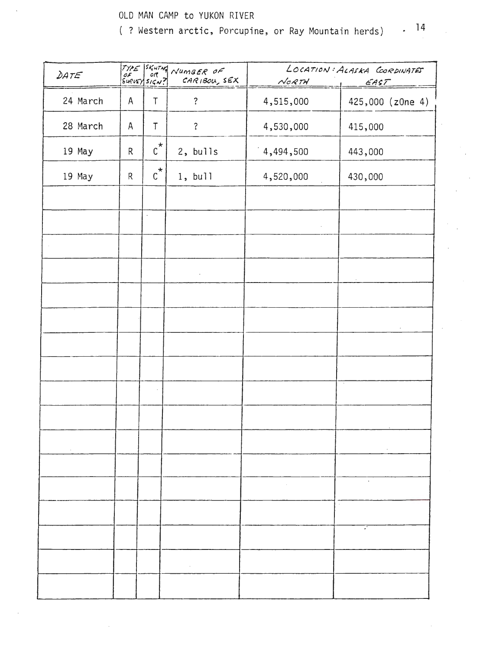### OLD MAN CAMP to YUKON RIVER

 $. 14$ ( ? Western arctic, Porcupine, or Ray Mountain herds)

| DATE     |              |                      | TYPE SKHTM NUMBER OF<br>CARIBOU, SEX | LOCATION: ALASKA CORDINATES<br>NORTH<br>EAST |                  |
|----------|--------------|----------------------|--------------------------------------|----------------------------------------------|------------------|
| 24 March | $\mathsf{A}$ | T                    | $\ddot{\cdot}$                       | 4,515,000                                    | 425,000 (z0ne 4) |
| 28 March | A            | $\mathsf T$          | $\ddot{?}$                           | 4,530,000                                    | 415,000          |
| 19 May   | R            | $\text{c}^{\star}$   | 2, bulls                             | 4,494,500                                    | 443,000          |
| 19 May   | $\mathsf{R}$ | $\text{c}^{\star}$   | 1, bull                              | 4,520,000                                    | 430,000          |
|          |              |                      |                                      |                                              |                  |
|          |              | $\ddot{\phantom{a}}$ |                                      |                                              |                  |
|          |              |                      |                                      |                                              |                  |
|          |              |                      | $\ddot{\phantom{a}}$                 |                                              |                  |
|          |              |                      |                                      |                                              |                  |
|          |              |                      |                                      |                                              | $\epsilon$       |
|          |              |                      |                                      |                                              |                  |
|          |              |                      |                                      |                                              |                  |
|          |              |                      |                                      |                                              |                  |
|          |              |                      |                                      |                                              |                  |
|          |              |                      |                                      |                                              |                  |
|          |              |                      |                                      |                                              |                  |
|          |              |                      |                                      | $\sim 100$                                   |                  |
|          |              |                      |                                      |                                              |                  |
|          |              |                      |                                      |                                              |                  |
|          |              |                      |                                      |                                              |                  |
|          |              |                      |                                      |                                              |                  |

 $\bar{z}$